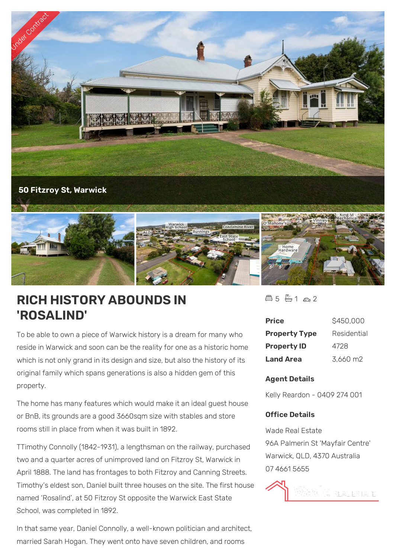

## **RICH HISTORY ABOUNDS IN 'ROSALIND'**

To be able to own a piece of Warwick history is a dream for many who reside in Warwick and soon can be the reality for one as a historic home which is not only grand in its design and size, but also the history of its original family which spans generations is also a hidden gem of this property.

The home has many features which would make it an ideal guest house or BnB, its grounds are a good 3660sqm size with stables and store rooms still in place from when it was built in 1892.

TTimothy Connolly (1842-1931), a lengthsman on the railway, purchased two and a quarter acres of unimproved land on Fitzroy St, Warwick in April 1888. The land has frontages to both Fitzroy and Canning Streets. Timothy's eldest son, Daniel built three houses on the site. The first house named 'Rosalind', at 50 Fitzroy St opposite the Warwick East State School, was completed in 1892.

In that same year, Daniel Connolly, a well-known politician and architect, married Sarah Hogan. They went onto have seven children, and rooms

 $45 - 1 - 2$ 

| <b>Price</b>         | \$450,000   |
|----------------------|-------------|
| <b>Property Type</b> | Residential |
| <b>Property ID</b>   | 4728        |
| <b>Land Area</b>     | 3.660 m2    |

## **Agent Details**

Kelly Reardon - 0409 274 001

## **Office Details**

Wade Real Estate 96A Palmerin St 'Mayfair Centre' Warwick, QLD, 4370 Australia 07 4661 5655